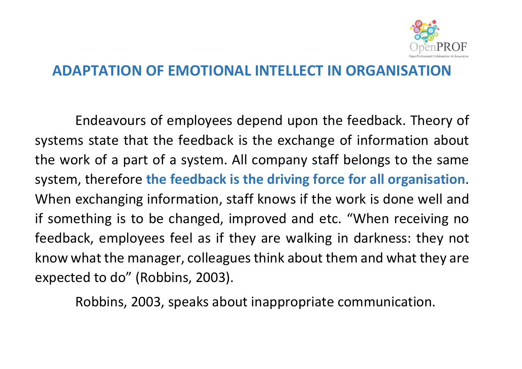

## **ADAPTATION OF EMOTIONAL INTELLECT IN ORGANISATION**

Endeavours of employees depend upon the feedback. Theory of systems state that the feedback is the exchange of information about the work of a part of a system. All company staff belongs to the same system, therefore **the feedback is the driving force for all organisation**. When exchanging information, staff knows if the work is done well and if something is to be changed, improved and etc. "When receiving no feedback, employees feel as if they are walking in darkness: they not know what the manager, colleagues think about them and what they are expected to do" (Robbins, 2003).

Robbins, 2003, speaks about inappropriate communication.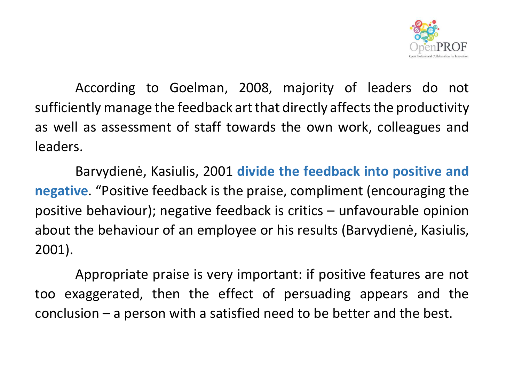

According to Goelman, 2008, majority of leaders do not sufficiently manage the feedback art that directly affects the productivity as well as assessment of staff towards the own work, colleagues and leaders.

 Barvydienė, Kasiulis, 2001 **divide the feedback into positive and negative**. "Positive feedback is the praise, compliment (encouraging the positive behaviour); negative feedback is critics – unfavourable opinion about the behaviour of an employee or his results (Barvydienė, Kasiulis, 2001).

 Appropriate praise is very important: if positive features are not too exaggerated, then the effect of persuading appears and the conclusion – a person with a satisfied need to be better and the best.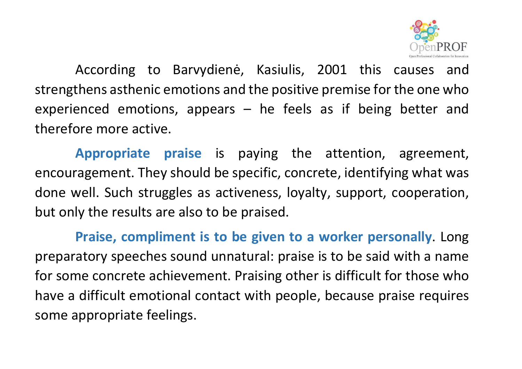

 According to Barvydienė, Kasiulis, 2001 this causes and strengthens asthenic emotions and the positive premise for the one who experienced emotions, appears – he feels as if being better and therefore more active.

**Appropriate praise** is paying the attention, agreement, encouragement. They should be specific, concrete, identifying what was done well. Such struggles as activeness, loyalty, support, cooperation, but only the results are also to be praised.

**Praise, compliment is to be given to a worker personally**. Long preparatory speeches sound unnatural: praise is to be said with a name for some concrete achievement. Praising other is difficult for those who have a difficult emotional contact with people, because praise requires some appropriate feelings.